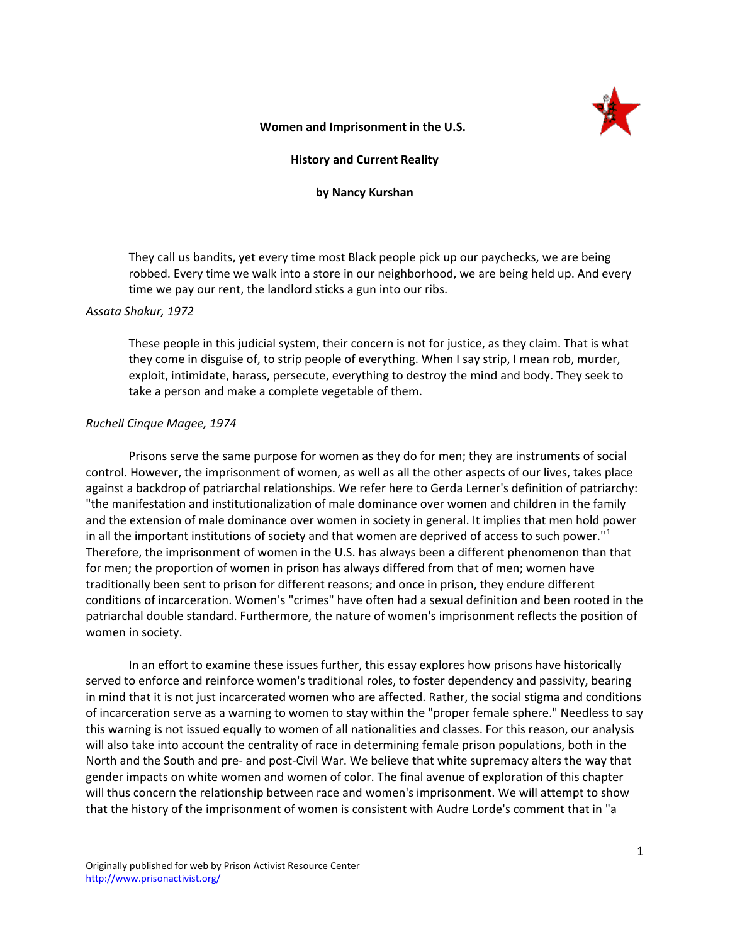

## **Women and Imprisonment in the U.S.**

**History and Current Reality**

**by Nancy Kurshan**

They call us bandits, yet every time most Black people pick up our paychecks, we are being robbed. Every time we walk into a store in our neighborhood, we are being held up. And every time we pay our rent, the landlord sticks a gun into our ribs.

## *Assata Shakur, 1972*

These people in this judicial system, their concern is not for justice, as they claim. That is what they come in disguise of, to strip people of everything. When I say strip, I mean rob, murder, exploit, intimidate, harass, persecute, everything to destroy the mind and body. They seek to take a person and make a complete vegetable of them.

## *Ruchell Cinque Magee, 1974*

Prisons serve the same purpose for women as they do for men; they are instruments of social control. However, the imprisonment of women, as well as all the other aspects of our lives, takes place against a backdrop of patriarchal relationships. We refer here to Gerda Lerner's definition of patriarchy: "the manifestation and institutionalization of male dominance over women and children in the family and the extension of male dominance over women in society in general. It implies that men hold power in all the important institutions of society and that women are deprived of access to such power." $1$ Therefore, the imprisonment of women in the U.S. has always been a different phenomenon than that for men; the proportion of women in prison has always differed from that of men; women have traditionally been sent to prison for different reasons; and once in prison, they endure different conditions of incarceration. Women's "crimes" have often had a sexual definition and been rooted in the patriarchal double standard. Furthermore, the nature of women's imprisonment reflects the position of women in society.

In an effort to examine these issues further, this essay explores how prisons have historically served to enforce and reinforce women's traditional roles, to foster dependency and passivity, bearing in mind that it is not just incarcerated women who are affected. Rather, the social stigma and conditions of incarceration serve as a warning to women to stay within the "proper female sphere." Needless to say this warning is not issued equally to women of all nationalities and classes. For this reason, our analysis will also take into account the centrality of race in determining female prison populations, both in the North and the South and pre- and post-Civil War. We believe that white supremacy alters the way that gender impacts on white women and women of color. The final avenue of exploration of this chapter will thus concern the relationship between race and women's imprisonment. We will attempt to show that the history of the imprisonment of women is consistent with Audre Lorde's comment that in "a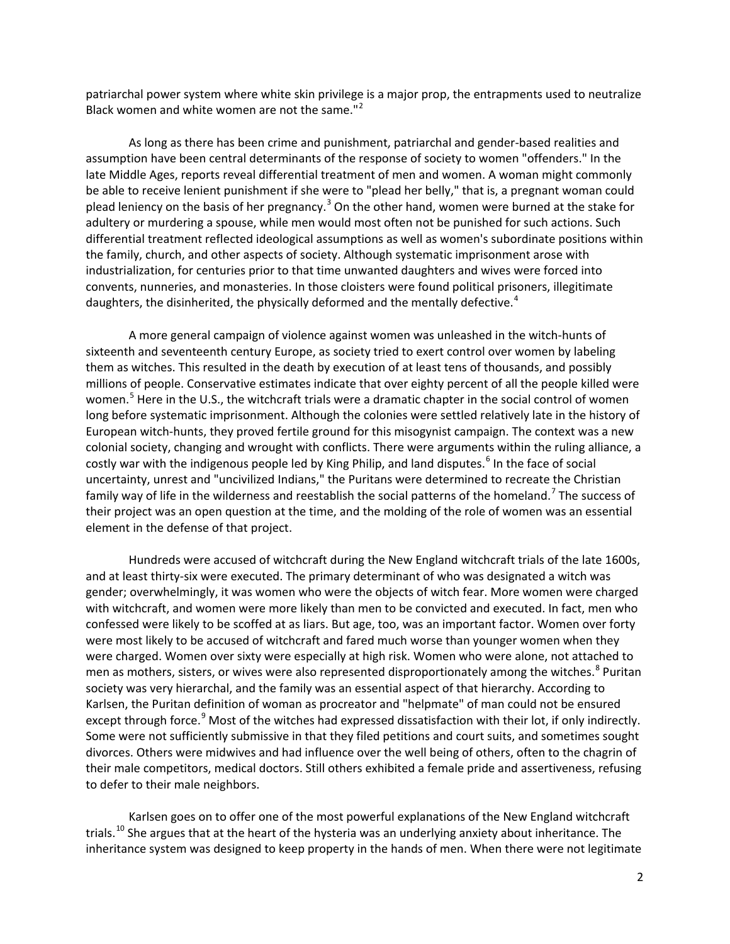patriarchal power system where white skin privilege is a major prop, the entrapments used to neutralize Black women and white women are not the same."<sup>[2](#page-15-1)</sup>

As long as there has been crime and punishment, patriarchal and gender-based realities and assumption have been central determinants of the response of society to women "offenders." In the late Middle Ages, reports reveal differential treatment of men and women. A woman might commonly be able to receive lenient punishment if she were to "plead her belly," that is, a pregnant woman could plead leniency on the basis of her pregnancy.<sup>[3](#page-15-2)</sup> On the other hand, women were burned at the stake for adultery or murdering a spouse, while men would most often not be punished for such actions. Such differential treatment reflected ideological assumptions as well as women's subordinate positions within the family, church, and other aspects of society. Although systematic imprisonment arose with industrialization, for centuries prior to that time unwanted daughters and wives were forced into convents, nunneries, and monasteries. In those cloisters were found political prisoners, illegitimate daughters, the disinherited, the physically deformed and the mentally defective.<sup>[4](#page-15-3)</sup>

A more general campaign of violence against women was unleashed in the witch-hunts of sixteenth and seventeenth century Europe, as society tried to exert control over women by labeling them as witches. This resulted in the death by execution of at least tens of thousands, and possibly millions of people. Conservative estimates indicate that over eighty percent of all the people killed were women.<sup>[5](#page-16-0)</sup> Here in the U.S., the witchcraft trials were a dramatic chapter in the social control of women long before systematic imprisonment. Although the colonies were settled relatively late in the history of European witch-hunts, they proved fertile ground for this misogynist campaign. The context was a new colonial society, changing and wrought with conflicts. There were arguments within the ruling alliance, a costly war with the indigenous people led by King Philip, and land disputes.<sup>[6](#page-16-1)</sup> In the face of social uncertainty, unrest and "uncivilized Indians," the Puritans were determined to recreate the Christian family way of life in the wilderness and reestablish the social patterns of the homeland.<sup>[7](#page-16-2)</sup> The success of their project was an open question at the time, and the molding of the role of women was an essential element in the defense of that project.

Hundreds were accused of witchcraft during the New England witchcraft trials of the late 1600s, and at least thirty-six were executed. The primary determinant of who was designated a witch was gender; overwhelmingly, it was women who were the objects of witch fear. More women were charged with witchcraft, and women were more likely than men to be convicted and executed. In fact, men who confessed were likely to be scoffed at as liars. But age, too, was an important factor. Women over forty were most likely to be accused of witchcraft and fared much worse than younger women when they were charged. Women over sixty were especially at high risk. Women who were alone, not attached to men as mothers, sisters, or wives were also represented disproportionately among the witches.<sup>[8](#page-16-3)</sup> Puritan society was very hierarchal, and the family was an essential aspect of that hierarchy. According to Karlsen, the Puritan definition of woman as procreator and "helpmate" of man could not be ensured except through force.<sup>[9](#page-16-4)</sup> Most of the witches had expressed dissatisfaction with their lot, if only indirectly. Some were not sufficiently submissive in that they filed petitions and court suits, and sometimes sought divorces. Others were midwives and had influence over the well being of others, often to the chagrin of their male competitors, medical doctors. Still others exhibited a female pride and assertiveness, refusing to defer to their male neighbors.

Karlsen goes on to offer one of the most powerful explanations of the New England witchcraft trials.<sup>[10](#page-16-5)</sup> She argues that at the heart of the hysteria was an underlying anxiety about inheritance. The inheritance system was designed to keep property in the hands of men. When there were not legitimate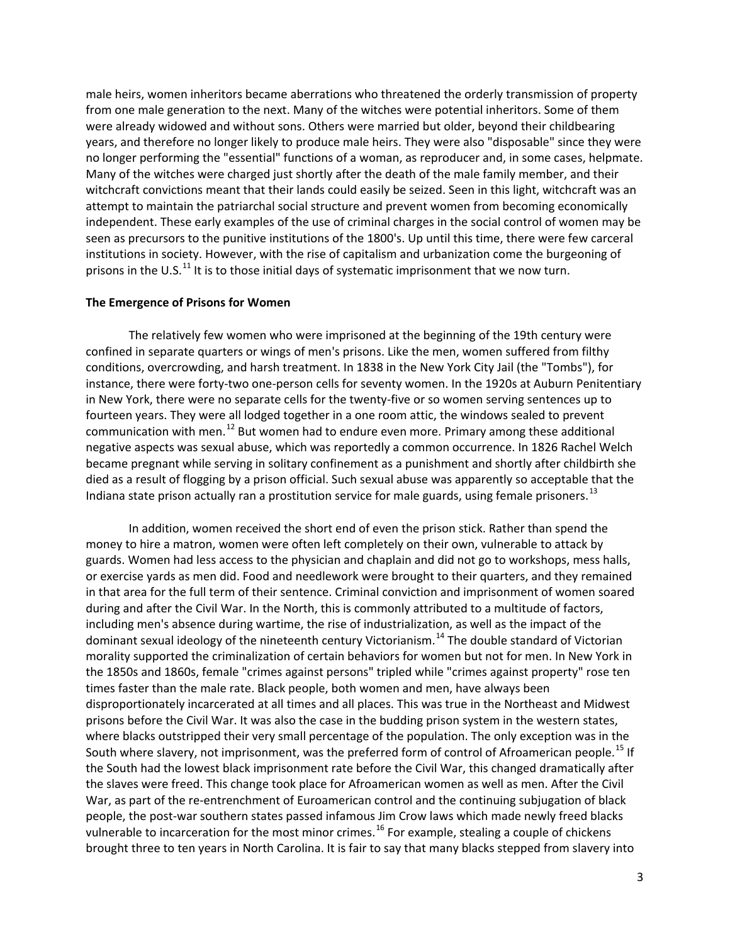male heirs, women inheritors became aberrations who threatened the orderly transmission of property from one male generation to the next. Many of the witches were potential inheritors. Some of them were already widowed and without sons. Others were married but older, beyond their childbearing years, and therefore no longer likely to produce male heirs. They were also "disposable" since they were no longer performing the "essential" functions of a woman, as reproducer and, in some cases, helpmate. Many of the witches were charged just shortly after the death of the male family member, and their witchcraft convictions meant that their lands could easily be seized. Seen in this light, witchcraft was an attempt to maintain the patriarchal social structure and prevent women from becoming economically independent. These early examples of the use of criminal charges in the social control of women may be seen as precursors to the punitive institutions of the 1800's. Up until this time, there were few carceral institutions in society. However, with the rise of capitalism and urbanization come the burgeoning of prisons in the U.S. $^{11}$  $^{11}$  $^{11}$  It is to those initial days of systematic imprisonment that we now turn.

## **The Emergence of Prisons for Women**

The relatively few women who were imprisoned at the beginning of the 19th century were confined in separate quarters or wings of men's prisons. Like the men, women suffered from filthy conditions, overcrowding, and harsh treatment. In 1838 in the New York City Jail (the "Tombs"), for instance, there were forty-two one-person cells for seventy women. In the 1920s at Auburn Penitentiary in New York, there were no separate cells for the twenty-five or so women serving sentences up to fourteen years. They were all lodged together in a one room attic, the windows sealed to prevent communication with men.<sup>[12](#page-16-7)</sup> But women had to endure even more. Primary among these additional negative aspects was sexual abuse, which was reportedly a common occurrence. In 1826 Rachel Welch became pregnant while serving in solitary confinement as a punishment and shortly after childbirth she died as a result of flogging by a prison official. Such sexual abuse was apparently so acceptable that the Indiana state prison actually ran a prostitution service for male guards, using female prisoners.<sup>[13](#page-16-8)</sup>

In addition, women received the short end of even the prison stick. Rather than spend the money to hire a matron, women were often left completely on their own, vulnerable to attack by guards. Women had less access to the physician and chaplain and did not go to workshops, mess halls, or exercise yards as men did. Food and needlework were brought to their quarters, and they remained in that area for the full term of their sentence. Criminal conviction and imprisonment of women soared during and after the Civil War. In the North, this is commonly attributed to a multitude of factors, including men's absence during wartime, the rise of industrialization, as well as the impact of the dominant sexual ideology of the nineteenth century Victorianism.<sup>[14](#page-16-9)</sup> The double standard of Victorian morality supported the criminalization of certain behaviors for women but not for men. In New York in the 1850s and 1860s, female "crimes against persons" tripled while "crimes against property" rose ten times faster than the male rate. Black people, both women and men, have always been disproportionately incarcerated at all times and all places. This was true in the Northeast and Midwest prisons before the Civil War. It was also the case in the budding prison system in the western states, where blacks outstripped their very small percentage of the population. The only exception was in the South where slavery, not imprisonment, was the preferred form of control of Afroamerican people.<sup>[15](#page-16-10)</sup> If the South had the lowest black imprisonment rate before the Civil War, this changed dramatically after the slaves were freed. This change took place for Afroamerican women as well as men. After the Civil War, as part of the re-entrenchment of Euroamerican control and the continuing subjugation of black people, the post-war southern states passed infamous Jim Crow laws which made newly freed blacks vulnerable to incarceration for the most minor crimes.<sup>[16](#page-16-11)</sup> For example, stealing a couple of chickens brought three to ten years in North Carolina. It is fair to say that many blacks stepped from slavery into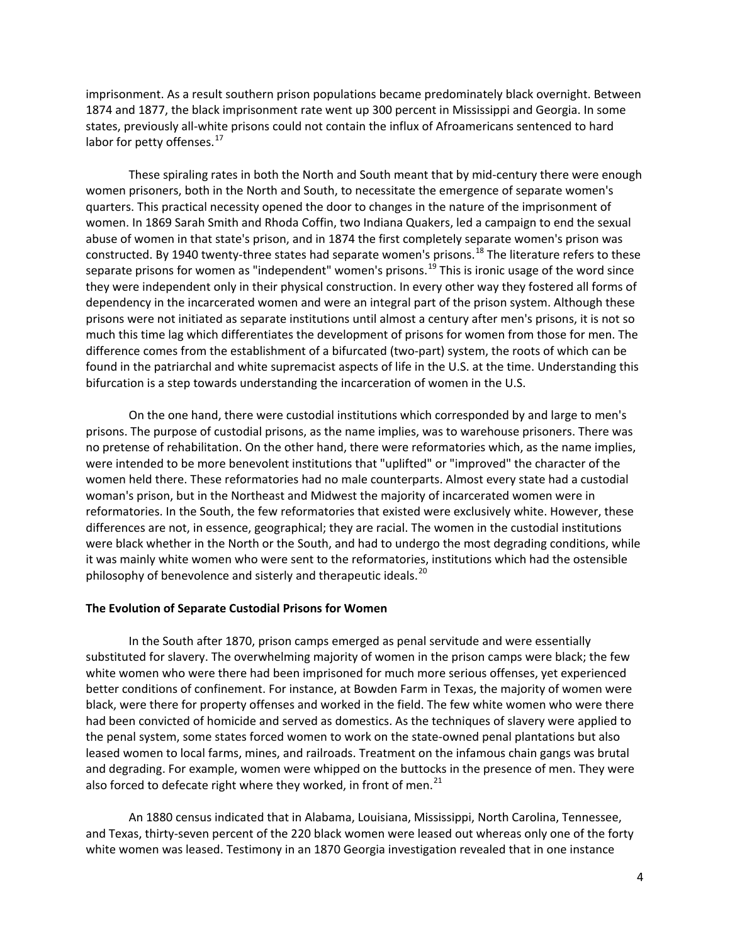imprisonment. As a result southern prison populations became predominately black overnight. Between 1874 and 1877, the black imprisonment rate went up 300 percent in Mississippi and Georgia. In some states, previously all-white prisons could not contain the influx of Afroamericans sentenced to hard labor for petty offenses.<sup>[17](#page-16-12)</sup>

These spiraling rates in both the North and South meant that by mid-century there were enough women prisoners, both in the North and South, to necessitate the emergence of separate women's quarters. This practical necessity opened the door to changes in the nature of the imprisonment of women. In 1869 Sarah Smith and Rhoda Coffin, two Indiana Quakers, led a campaign to end the sexual abuse of women in that state's prison, and in 1874 the first completely separate women's prison was constructed. By 1940 twenty-three states had separate women's prisons.<sup>[18](#page-16-13)</sup> The literature refers to these separate prisons for women as "independent" women's prisons.<sup>[19](#page-16-14)</sup> This is ironic usage of the word since they were independent only in their physical construction. In every other way they fostered all forms of dependency in the incarcerated women and were an integral part of the prison system. Although these prisons were not initiated as separate institutions until almost a century after men's prisons, it is not so much this time lag which differentiates the development of prisons for women from those for men. The difference comes from the establishment of a bifurcated (two-part) system, the roots of which can be found in the patriarchal and white supremacist aspects of life in the U.S. at the time. Understanding this bifurcation is a step towards understanding the incarceration of women in the U.S.

On the one hand, there were custodial institutions which corresponded by and large to men's prisons. The purpose of custodial prisons, as the name implies, was to warehouse prisoners. There was no pretense of rehabilitation. On the other hand, there were reformatories which, as the name implies, were intended to be more benevolent institutions that "uplifted" or "improved" the character of the women held there. These reformatories had no male counterparts. Almost every state had a custodial woman's prison, but in the Northeast and Midwest the majority of incarcerated women were in reformatories. In the South, the few reformatories that existed were exclusively white. However, these differences are not, in essence, geographical; they are racial. The women in the custodial institutions were black whether in the North or the South, and had to undergo the most degrading conditions, while it was mainly white women who were sent to the reformatories, institutions which had the ostensible philosophy of benevolence and sisterly and therapeutic ideals.<sup>[20](#page-16-15)</sup>

### **The Evolution of Separate Custodial Prisons for Women**

In the South after 1870, prison camps emerged as penal servitude and were essentially substituted for slavery. The overwhelming majority of women in the prison camps were black; the few white women who were there had been imprisoned for much more serious offenses, yet experienced better conditions of confinement. For instance, at Bowden Farm in Texas, the majority of women were black, were there for property offenses and worked in the field. The few white women who were there had been convicted of homicide and served as domestics. As the techniques of slavery were applied to the penal system, some states forced women to work on the state-owned penal plantations but also leased women to local farms, mines, and railroads. Treatment on the infamous chain gangs was brutal and degrading. For example, women were whipped on the buttocks in the presence of men. They were also forced to defecate right where they worked, in front of men. $^{21}$  $^{21}$  $^{21}$ 

An 1880 census indicated that in Alabama, Louisiana, Mississippi, North Carolina, Tennessee, and Texas, thirty-seven percent of the 220 black women were leased out whereas only one of the forty white women was leased. Testimony in an 1870 Georgia investigation revealed that in one instance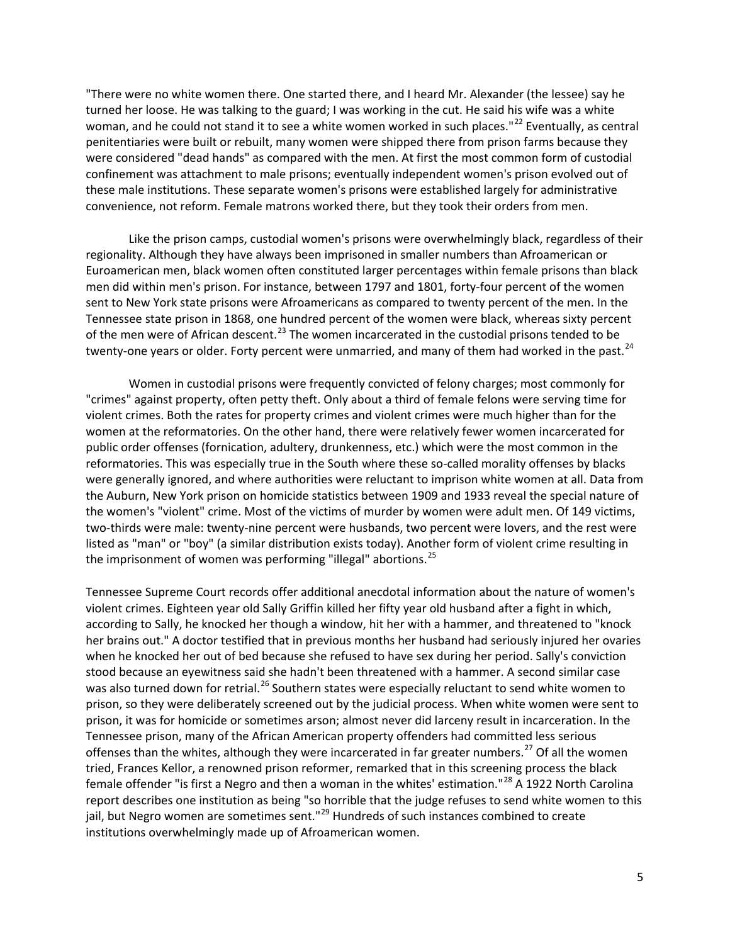"There were no white women there. One started there, and I heard Mr. Alexander (the lessee) say he turned her loose. He was talking to the guard; I was working in the cut. He said his wife was a white woman, and he could not stand it to see a white women worked in such places."<sup>[22](#page-16-17)</sup> Eventually, as central penitentiaries were built or rebuilt, many women were shipped there from prison farms because they were considered "dead hands" as compared with the men. At first the most common form of custodial confinement was attachment to male prisons; eventually independent women's prison evolved out of these male institutions. These separate women's prisons were established largely for administrative convenience, not reform. Female matrons worked there, but they took their orders from men.

Like the prison camps, custodial women's prisons were overwhelmingly black, regardless of their regionality. Although they have always been imprisoned in smaller numbers than Afroamerican or Euroamerican men, black women often constituted larger percentages within female prisons than black men did within men's prison. For instance, between 1797 and 1801, forty-four percent of the women sent to New York state prisons were Afroamericans as compared to twenty percent of the men. In the Tennessee state prison in 1868, one hundred percent of the women were black, whereas sixty percent of the men were of African descent.<sup>[23](#page-16-18)</sup> The women incarcerated in the custodial prisons tended to be twenty-one years or older. Forty percent were unmarried, and many of them had worked in the past.<sup>[24](#page-16-19)</sup>

Women in custodial prisons were frequently convicted of felony charges; most commonly for "crimes" against property, often petty theft. Only about a third of female felons were serving time for violent crimes. Both the rates for property crimes and violent crimes were much higher than for the women at the reformatories. On the other hand, there were relatively fewer women incarcerated for public order offenses (fornication, adultery, drunkenness, etc.) which were the most common in the reformatories. This was especially true in the South where these so-called morality offenses by blacks were generally ignored, and where authorities were reluctant to imprison white women at all. Data from the Auburn, New York prison on homicide statistics between 1909 and 1933 reveal the special nature of the women's "violent" crime. Most of the victims of murder by women were adult men. Of 149 victims, two-thirds were male: twenty-nine percent were husbands, two percent were lovers, and the rest were listed as "man" or "boy" (a similar distribution exists today). Another form of violent crime resulting in the imprisonment of women was performing "illegal" abortions. $^{25}$  $^{25}$  $^{25}$ 

Tennessee Supreme Court records offer additional anecdotal information about the nature of women's violent crimes. Eighteen year old Sally Griffin killed her fifty year old husband after a fight in which, according to Sally, he knocked her though a window, hit her with a hammer, and threatened to "knock her brains out." A doctor testified that in previous months her husband had seriously injured her ovaries when he knocked her out of bed because she refused to have sex during her period. Sally's conviction stood because an eyewitness said she hadn't been threatened with a hammer. A second similar case was also turned down for retrial.<sup>[26](#page-16-21)</sup> Southern states were especially reluctant to send white women to prison, so they were deliberately screened out by the judicial process. When white women were sent to prison, it was for homicide or sometimes arson; almost never did larceny result in incarceration. In the Tennessee prison, many of the African American property offenders had committed less serious offenses than the whites, although they were incarcerated in far greater numbers.<sup>[27](#page-16-22)</sup> Of all the women tried, Frances Kellor, a renowned prison reformer, remarked that in this screening process the black female offender "is first a Negro and then a woman in the whites' estimation."<sup>[28](#page-16-23)</sup> A 1922 North Carolina report describes one institution as being "so horrible that the judge refuses to send white women to this jail, but Negro women are sometimes sent."<sup>[29](#page-16-24)</sup> Hundreds of such instances combined to create institutions overwhelmingly made up of Afroamerican women.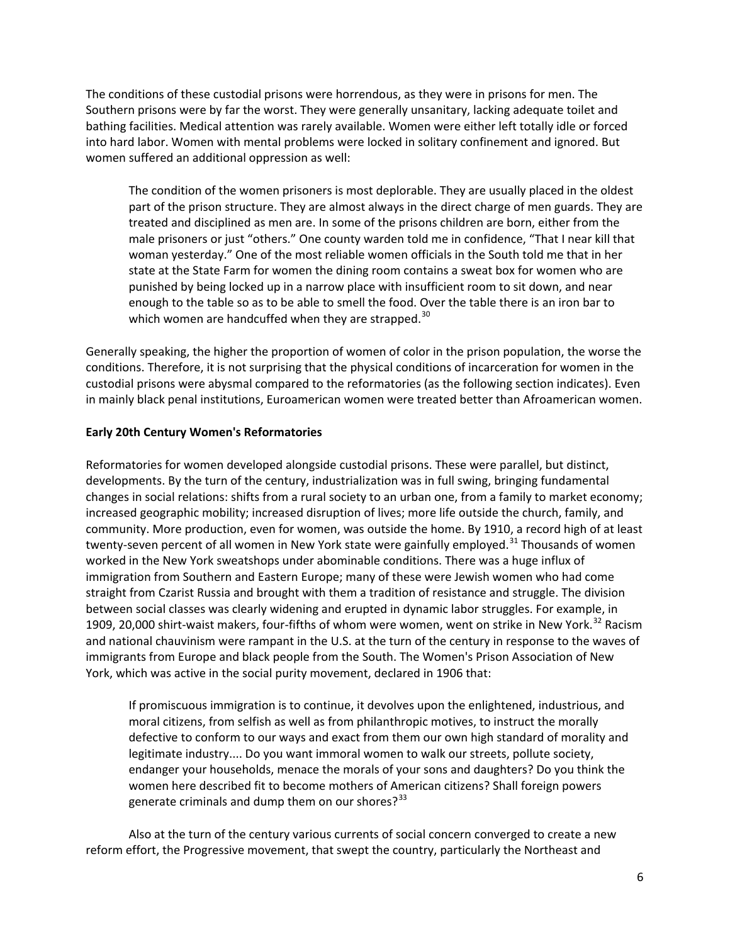The conditions of these custodial prisons were horrendous, as they were in prisons for men. The Southern prisons were by far the worst. They were generally unsanitary, lacking adequate toilet and bathing facilities. Medical attention was rarely available. Women were either left totally idle or forced into hard labor. Women with mental problems were locked in solitary confinement and ignored. But women suffered an additional oppression as well:

The condition of the women prisoners is most deplorable. They are usually placed in the oldest part of the prison structure. They are almost always in the direct charge of men guards. They are treated and disciplined as men are. In some of the prisons children are born, either from the male prisoners or just "others." One county warden told me in confidence, "That I near kill that woman yesterday." One of the most reliable women officials in the South told me that in her state at the State Farm for women the dining room contains a sweat box for women who are punished by being locked up in a narrow place with insufficient room to sit down, and near enough to the table so as to be able to smell the food. Over the table there is an iron bar to which women are handcuffed when they are strapped.<sup>[30](#page-16-25)</sup>

Generally speaking, the higher the proportion of women of color in the prison population, the worse the conditions. Therefore, it is not surprising that the physical conditions of incarceration for women in the custodial prisons were abysmal compared to the reformatories (as the following section indicates). Even in mainly black penal institutions, Euroamerican women were treated better than Afroamerican women.

# **Early 20th Century Women's Reformatories**

Reformatories for women developed alongside custodial prisons. These were parallel, but distinct, developments. By the turn of the century, industrialization was in full swing, bringing fundamental changes in social relations: shifts from a rural society to an urban one, from a family to market economy; increased geographic mobility; increased disruption of lives; more life outside the church, family, and community. More production, even for women, was outside the home. By 1910, a record high of at least twenty-seven percent of all women in New York state were gainfully employed.<sup>[31](#page-16-26)</sup> Thousands of women worked in the New York sweatshops under abominable conditions. There was a huge influx of immigration from Southern and Eastern Europe; many of these were Jewish women who had come straight from Czarist Russia and brought with them a tradition of resistance and struggle. The division between social classes was clearly widening and erupted in dynamic labor struggles. For example, in 1909, 20,000 shirt-waist makers, four-fifths of whom were women, went on strike in New York.<sup>[32](#page-16-27)</sup> Racism and national chauvinism were rampant in the U.S. at the turn of the century in response to the waves of immigrants from Europe and black people from the South. The Women's Prison Association of New York, which was active in the social purity movement, declared in 1906 that:

If promiscuous immigration is to continue, it devolves upon the enlightened, industrious, and moral citizens, from selfish as well as from philanthropic motives, to instruct the morally defective to conform to our ways and exact from them our own high standard of morality and legitimate industry.... Do you want immoral women to walk our streets, pollute society, endanger your households, menace the morals of your sons and daughters? Do you think the women here described fit to become mothers of American citizens? Shall foreign powers generate criminals and dump them on our shores? $^{33}$  $^{33}$  $^{33}$ 

Also at the turn of the century various currents of social concern converged to create a new reform effort, the Progressive movement, that swept the country, particularly the Northeast and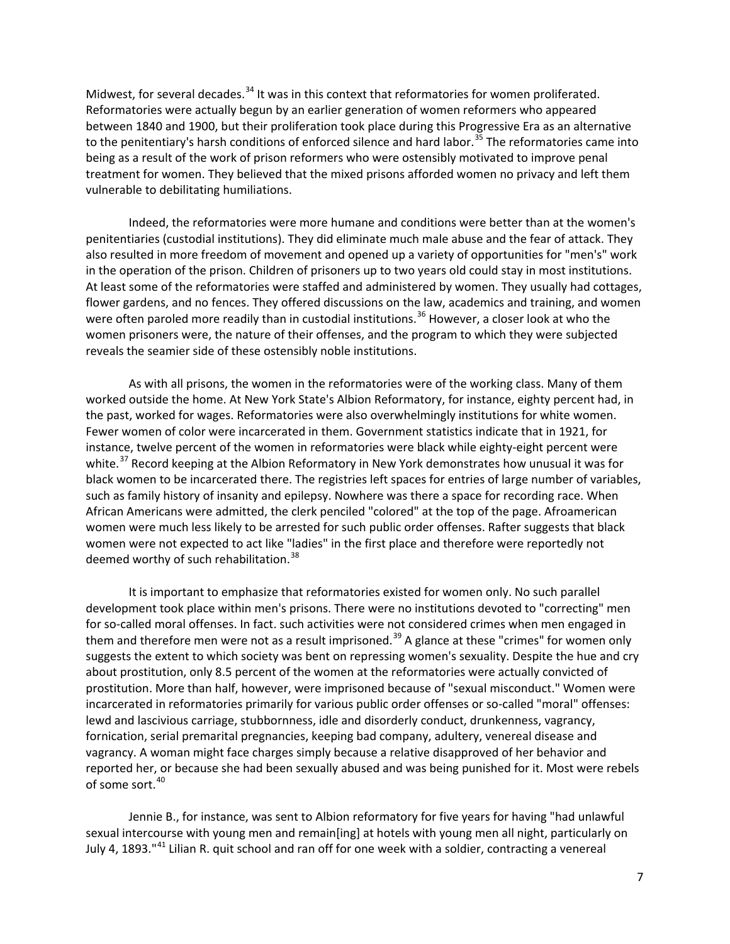Midwest, for several decades.<sup>[34](#page-16-29)</sup> It was in this context that reformatories for women proliferated. Reformatories were actually begun by an earlier generation of women reformers who appeared between 1840 and 1900, but their proliferation took place during this Progressive Era as an alternative to the penitentiary's harsh conditions of enforced silence and hard labor.<sup>[35](#page-16-30)</sup> The reformatories came into being as a result of the work of prison reformers who were ostensibly motivated to improve penal treatment for women. They believed that the mixed prisons afforded women no privacy and left them vulnerable to debilitating humiliations.

Indeed, the reformatories were more humane and conditions were better than at the women's penitentiaries (custodial institutions). They did eliminate much male abuse and the fear of attack. They also resulted in more freedom of movement and opened up a variety of opportunities for "men's" work in the operation of the prison. Children of prisoners up to two years old could stay in most institutions. At least some of the reformatories were staffed and administered by women. They usually had cottages, flower gardens, and no fences. They offered discussions on the law, academics and training, and women were often paroled more readily than in custodial institutions.<sup>[36](#page-17-0)</sup> However, a closer look at who the women prisoners were, the nature of their offenses, and the program to which they were subjected reveals the seamier side of these ostensibly noble institutions.

As with all prisons, the women in the reformatories were of the working class. Many of them worked outside the home. At New York State's Albion Reformatory, for instance, eighty percent had, in the past, worked for wages. Reformatories were also overwhelmingly institutions for white women. Fewer women of color were incarcerated in them. Government statistics indicate that in 1921, for instance, twelve percent of the women in reformatories were black while eighty-eight percent were white.<sup>[37](#page-17-1)</sup> Record keeping at the Albion Reformatory in New York demonstrates how unusual it was for black women to be incarcerated there. The registries left spaces for entries of large number of variables, such as family history of insanity and epilepsy. Nowhere was there a space for recording race. When African Americans were admitted, the clerk penciled "colored" at the top of the page. Afroamerican women were much less likely to be arrested for such public order offenses. Rafter suggests that black women were not expected to act like "ladies" in the first place and therefore were reportedly not deemed worthy of such rehabilitation.<sup>[38](#page-17-2)</sup>

It is important to emphasize that reformatories existed for women only. No such parallel development took place within men's prisons. There were no institutions devoted to "correcting" men for so-called moral offenses. In fact. such activities were not considered crimes when men engaged in them and therefore men were not as a result imprisoned.<sup>[39](#page-17-3)</sup> A glance at these "crimes" for women only suggests the extent to which society was bent on repressing women's sexuality. Despite the hue and cry about prostitution, only 8.5 percent of the women at the reformatories were actually convicted of prostitution. More than half, however, were imprisoned because of "sexual misconduct." Women were incarcerated in reformatories primarily for various public order offenses or so-called "moral" offenses: lewd and lascivious carriage, stubbornness, idle and disorderly conduct, drunkenness, vagrancy, fornication, serial premarital pregnancies, keeping bad company, adultery, venereal disease and vagrancy. A woman might face charges simply because a relative disapproved of her behavior and reported her, or because she had been sexually abused and was being punished for it. Most were rebels of some sort.<sup>[40](#page-17-4)</sup>

Jennie B., for instance, was sent to Albion reformatory for five years for having "had unlawful sexual intercourse with young men and remain[ing] at hotels with young men all night, particularly on July 4, 1893."<sup>[41](#page-17-5)</sup> Lilian R. quit school and ran off for one week with a soldier, contracting a venereal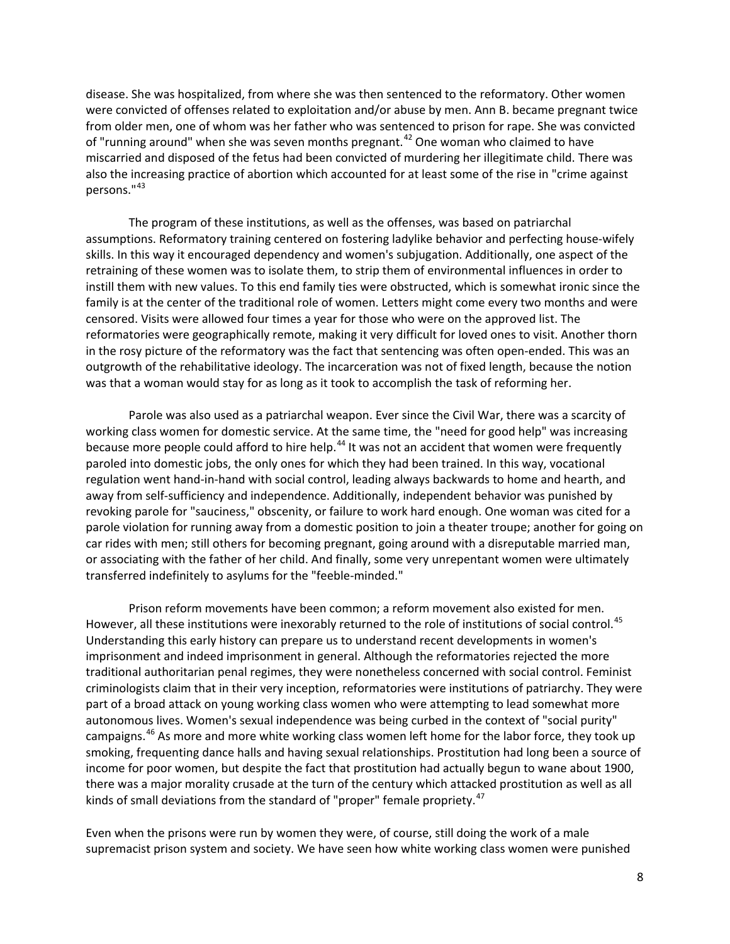disease. She was hospitalized, from where she was then sentenced to the reformatory. Other women were convicted of offenses related to exploitation and/or abuse by men. Ann B. became pregnant twice from older men, one of whom was her father who was sentenced to prison for rape. She was convicted of "running around" when she was seven months pregnant.<sup>[42](#page-17-6)</sup> One woman who claimed to have miscarried and disposed of the fetus had been convicted of murdering her illegitimate child. There was also the increasing practice of abortion which accounted for at least some of the rise in "crime against persons."[43](#page-17-7)

The program of these institutions, as well as the offenses, was based on patriarchal assumptions. Reformatory training centered on fostering ladylike behavior and perfecting house-wifely skills. In this way it encouraged dependency and women's subjugation. Additionally, one aspect of the retraining of these women was to isolate them, to strip them of environmental influences in order to instill them with new values. To this end family ties were obstructed, which is somewhat ironic since the family is at the center of the traditional role of women. Letters might come every two months and were censored. Visits were allowed four times a year for those who were on the approved list. The reformatories were geographically remote, making it very difficult for loved ones to visit. Another thorn in the rosy picture of the reformatory was the fact that sentencing was often open-ended. This was an outgrowth of the rehabilitative ideology. The incarceration was not of fixed length, because the notion was that a woman would stay for as long as it took to accomplish the task of reforming her.

Parole was also used as a patriarchal weapon. Ever since the Civil War, there was a scarcity of working class women for domestic service. At the same time, the "need for good help" was increasing because more people could afford to hire help.<sup>[44](#page-17-8)</sup> It was not an accident that women were frequently paroled into domestic jobs, the only ones for which they had been trained. In this way, vocational regulation went hand-in-hand with social control, leading always backwards to home and hearth, and away from self-sufficiency and independence. Additionally, independent behavior was punished by revoking parole for "sauciness," obscenity, or failure to work hard enough. One woman was cited for a parole violation for running away from a domestic position to join a theater troupe; another for going on car rides with men; still others for becoming pregnant, going around with a disreputable married man, or associating with the father of her child. And finally, some very unrepentant women were ultimately transferred indefinitely to asylums for the "feeble-minded."

Prison reform movements have been common; a reform movement also existed for men. However, all these institutions were inexorably returned to the role of institutions of social control.<sup>[45](#page-17-9)</sup> Understanding this early history can prepare us to understand recent developments in women's imprisonment and indeed imprisonment in general. Although the reformatories rejected the more traditional authoritarian penal regimes, they were nonetheless concerned with social control. Feminist criminologists claim that in their very inception, reformatories were institutions of patriarchy. They were part of a broad attack on young working class women who were attempting to lead somewhat more autonomous lives. Women's sexual independence was being curbed in the context of "social purity" campaigns.<sup>[46](#page-17-10)</sup> As more and more white working class women left home for the labor force, they took up smoking, frequenting dance halls and having sexual relationships. Prostitution had long been a source of income for poor women, but despite the fact that prostitution had actually begun to wane about 1900, there was a major morality crusade at the turn of the century which attacked prostitution as well as all kinds of small deviations from the standard of "proper" female propriety.<sup>[47](#page-17-11)</sup>

Even when the prisons were run by women they were, of course, still doing the work of a male supremacist prison system and society. We have seen how white working class women were punished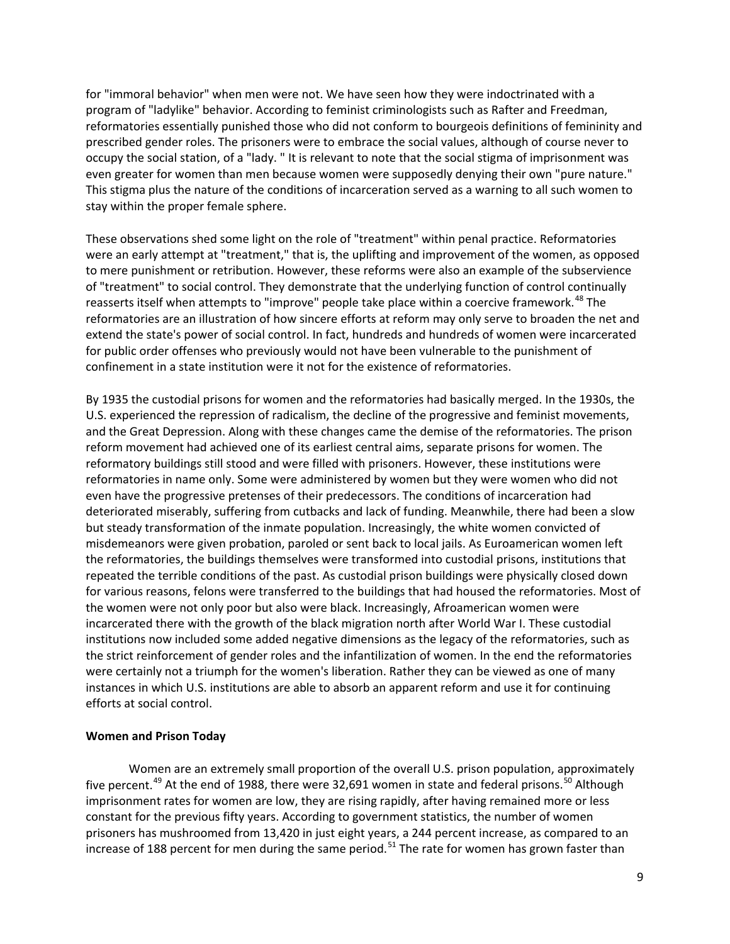for "immoral behavior" when men were not. We have seen how they were indoctrinated with a program of "ladylike" behavior. According to feminist criminologists such as Rafter and Freedman, reformatories essentially punished those who did not conform to bourgeois definitions of femininity and prescribed gender roles. The prisoners were to embrace the social values, although of course never to occupy the social station, of a "lady. " It is relevant to note that the social stigma of imprisonment was even greater for women than men because women were supposedly denying their own "pure nature." This stigma plus the nature of the conditions of incarceration served as a warning to all such women to stay within the proper female sphere.

These observations shed some light on the role of "treatment" within penal practice. Reformatories were an early attempt at "treatment," that is, the uplifting and improvement of the women, as opposed to mere punishment or retribution. However, these reforms were also an example of the subservience of "treatment" to social control. They demonstrate that the underlying function of control continually reasserts itself when attempts to "improve" people take place within a coercive framework.<sup>[48](#page-17-12)</sup> The reformatories are an illustration of how sincere efforts at reform may only serve to broaden the net and extend the state's power of social control. In fact, hundreds and hundreds of women were incarcerated for public order offenses who previously would not have been vulnerable to the punishment of confinement in a state institution were it not for the existence of reformatories.

By 1935 the custodial prisons for women and the reformatories had basically merged. In the 1930s, the U.S. experienced the repression of radicalism, the decline of the progressive and feminist movements, and the Great Depression. Along with these changes came the demise of the reformatories. The prison reform movement had achieved one of its earliest central aims, separate prisons for women. The reformatory buildings still stood and were filled with prisoners. However, these institutions were reformatories in name only. Some were administered by women but they were women who did not even have the progressive pretenses of their predecessors. The conditions of incarceration had deteriorated miserably, suffering from cutbacks and lack of funding. Meanwhile, there had been a slow but steady transformation of the inmate population. Increasingly, the white women convicted of misdemeanors were given probation, paroled or sent back to local jails. As Euroamerican women left the reformatories, the buildings themselves were transformed into custodial prisons, institutions that repeated the terrible conditions of the past. As custodial prison buildings were physically closed down for various reasons, felons were transferred to the buildings that had housed the reformatories. Most of the women were not only poor but also were black. Increasingly, Afroamerican women were incarcerated there with the growth of the black migration north after World War I. These custodial institutions now included some added negative dimensions as the legacy of the reformatories, such as the strict reinforcement of gender roles and the infantilization of women. In the end the reformatories were certainly not a triumph for the women's liberation. Rather they can be viewed as one of many instances in which U.S. institutions are able to absorb an apparent reform and use it for continuing efforts at social control.

## **Women and Prison Today**

Women are an extremely small proportion of the overall U.S. prison population, approximately five percent.<sup>[49](#page-17-13)</sup> At the end of 1988, there were 32,691 women in state and federal prisons.<sup>[50](#page-17-14)</sup> Although imprisonment rates for women are low, they are rising rapidly, after having remained more or less constant for the previous fifty years. According to government statistics, the number of women prisoners has mushroomed from 13,420 in just eight years, a 244 percent increase, as compared to an increase of 188 percent for men during the same period.<sup>[51](#page-17-15)</sup> The rate for women has grown faster than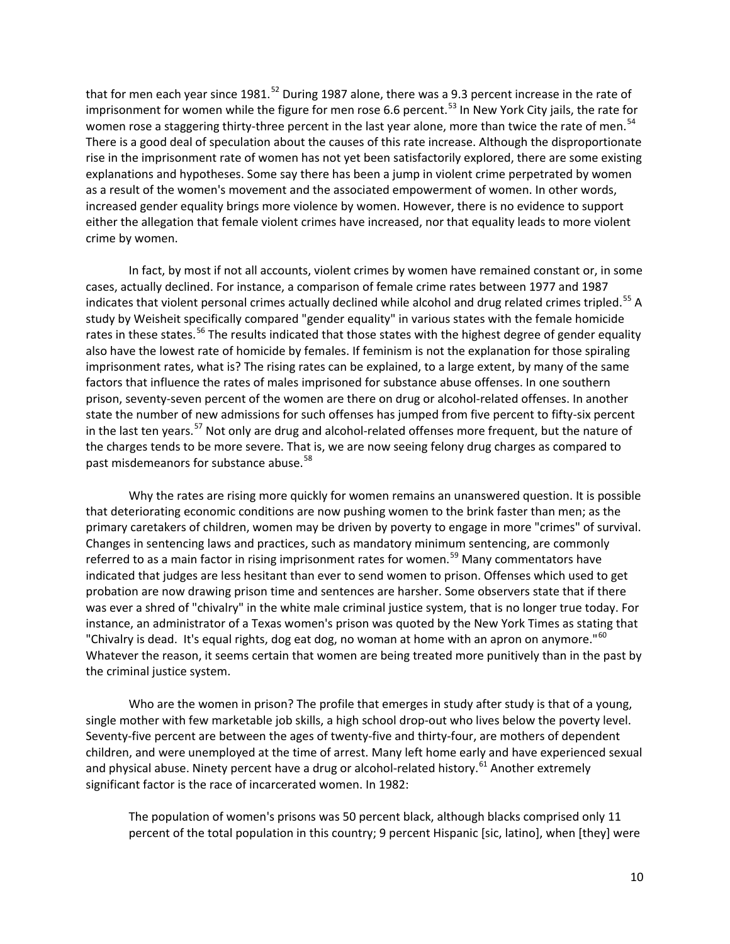that for men each year since 1981.<sup>[52](#page-17-16)</sup> During 1987 alone, there was a 9.3 percent increase in the rate of imprisonment for women while the figure for men rose 6.6 percent.<sup>[53](#page-17-17)</sup> In New York City jails, the rate for women rose a staggering thirty-three percent in the last year alone, more than twice the rate of men.<sup>[54](#page-17-18)</sup> There is a good deal of speculation about the causes of this rate increase. Although the disproportionate rise in the imprisonment rate of women has not yet been satisfactorily explored, there are some existing explanations and hypotheses. Some say there has been a jump in violent crime perpetrated by women as a result of the women's movement and the associated empowerment of women. In other words, increased gender equality brings more violence by women. However, there is no evidence to support either the allegation that female violent crimes have increased, nor that equality leads to more violent crime by women.

In fact, by most if not all accounts, violent crimes by women have remained constant or, in some cases, actually declined. For instance, a comparison of female crime rates between 1977 and 1987 indicates that violent personal crimes actually declined while alcohol and drug related crimes tripled.<sup>[55](#page-17-19)</sup> A study by Weisheit specifically compared "gender equality" in various states with the female homicide rates in these states.<sup>[56](#page-17-20)</sup> The results indicated that those states with the highest degree of gender equality also have the lowest rate of homicide by females. If feminism is not the explanation for those spiraling imprisonment rates, what is? The rising rates can be explained, to a large extent, by many of the same factors that influence the rates of males imprisoned for substance abuse offenses. In one southern prison, seventy-seven percent of the women are there on drug or alcohol-related offenses. In another state the number of new admissions for such offenses has jumped from five percent to fifty-six percent in the last ten years.<sup>[57](#page-17-21)</sup> Not only are drug and alcohol-related offenses more frequent, but the nature of the charges tends to be more severe. That is, we are now seeing felony drug charges as compared to past misdemeanors for substance abuse.<sup>[58](#page-17-22)</sup>

Why the rates are rising more quickly for women remains an unanswered question. It is possible that deteriorating economic conditions are now pushing women to the brink faster than men; as the primary caretakers of children, women may be driven by poverty to engage in more "crimes" of survival. Changes in sentencing laws and practices, such as mandatory minimum sentencing, are commonly referred to as a main factor in rising imprisonment rates for women.<sup>[59](#page-17-23)</sup> Many commentators have indicated that judges are less hesitant than ever to send women to prison. Offenses which used to get probation are now drawing prison time and sentences are harsher. Some observers state that if there was ever a shred of "chivalry" in the white male criminal justice system, that is no longer true today. For instance, an administrator of a Texas women's prison was quoted by the New York Times as stating that "Chivalry is dead. It's equal rights, dog eat dog, no woman at home with an apron on anymore." $60$ Whatever the reason, it seems certain that women are being treated more punitively than in the past by the criminal justice system.

Who are the women in prison? The profile that emerges in study after study is that of a young, single mother with few marketable job skills, a high school drop-out who lives below the poverty level. Seventy-five percent are between the ages of twenty-five and thirty-four, are mothers of dependent children, and were unemployed at the time of arrest. Many left home early and have experienced sexual and physical abuse. Ninety percent have a drug or alcohol-related history.<sup>[61](#page-17-25)</sup> Another extremely significant factor is the race of incarcerated women. In 1982:

The population of women's prisons was 50 percent black, although blacks comprised only 11 percent of the total population in this country; 9 percent Hispanic [sic, latino], when [they] were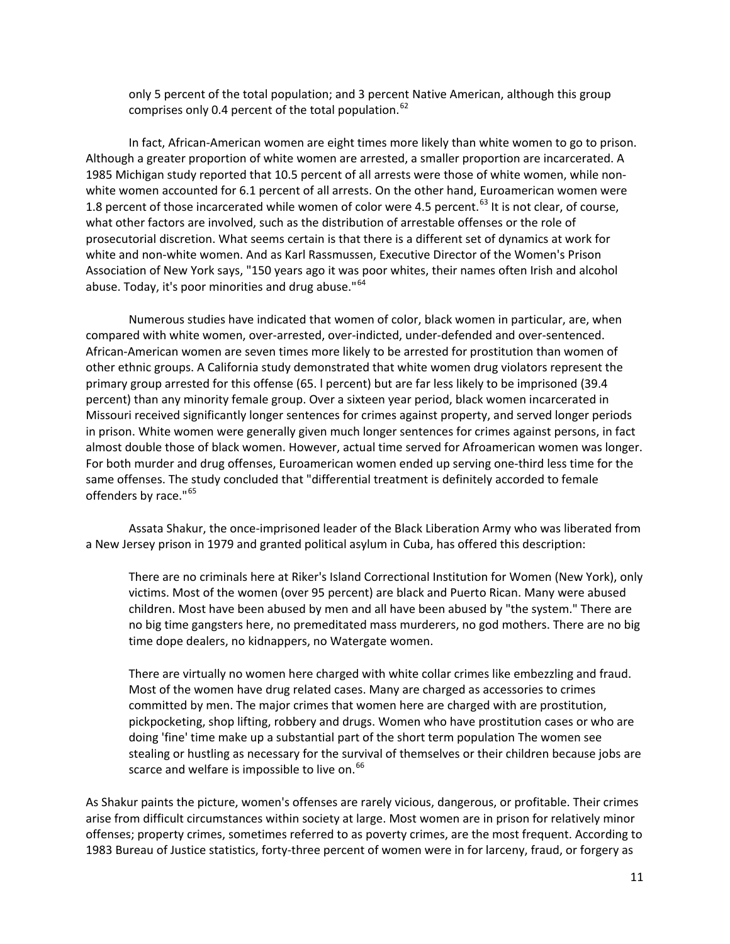only 5 percent of the total population; and 3 percent Native American, although this group comprises only 0.4 percent of the total population. $62$ 

In fact, African-American women are eight times more likely than white women to go to prison. Although a greater proportion of white women are arrested, a smaller proportion are incarcerated. A 1985 Michigan study reported that 10.5 percent of all arrests were those of white women, while nonwhite women accounted for 6.1 percent of all arrests. On the other hand, Euroamerican women were 1.8 percent of those incarcerated while women of color were 4.5 percent.<sup>[63](#page-17-27)</sup> It is not clear, of course, what other factors are involved, such as the distribution of arrestable offenses or the role of prosecutorial discretion. What seems certain is that there is a different set of dynamics at work for white and non-white women. And as Karl Rassmussen, Executive Director of the Women's Prison Association of New York says, "150 years ago it was poor whites, their names often Irish and alcohol abuse. Today, it's poor minorities and drug abuse."<sup>[64](#page-17-28)</sup>

Numerous studies have indicated that women of color, black women in particular, are, when compared with white women, over-arrested, over-indicted, under-defended and over-sentenced. African-American women are seven times more likely to be arrested for prostitution than women of other ethnic groups. A California study demonstrated that white women drug violators represent the primary group arrested for this offense (65. l percent) but are far less likely to be imprisoned (39.4 percent) than any minority female group. Over a sixteen year period, black women incarcerated in Missouri received significantly longer sentences for crimes against property, and served longer periods in prison. White women were generally given much longer sentences for crimes against persons, in fact almost double those of black women. However, actual time served for Afroamerican women was longer. For both murder and drug offenses, Euroamerican women ended up serving one-third less time for the same offenses. The study concluded that "differential treatment is definitely accorded to female offenders by race."<sup>[65](#page-17-29)</sup>

Assata Shakur, the once-imprisoned leader of the Black Liberation Army who was liberated from a New Jersey prison in 1979 and granted political asylum in Cuba, has offered this description:

There are no criminals here at Riker's Island Correctional Institution for Women (New York), only victims. Most of the women (over 95 percent) are black and Puerto Rican. Many were abused children. Most have been abused by men and all have been abused by "the system." There are no big time gangsters here, no premeditated mass murderers, no god mothers. There are no big time dope dealers, no kidnappers, no Watergate women.

There are virtually no women here charged with white collar crimes like embezzling and fraud. Most of the women have drug related cases. Many are charged as accessories to crimes committed by men. The major crimes that women here are charged with are prostitution, pickpocketing, shop lifting, robbery and drugs. Women who have prostitution cases or who are doing 'fine' time make up a substantial part of the short term population The women see stealing or hustling as necessary for the survival of themselves or their children because jobs are scarce and welfare is impossible to live on.<sup>[66](#page-17-30)</sup>

As Shakur paints the picture, women's offenses are rarely vicious, dangerous, or profitable. Their crimes arise from difficult circumstances within society at large. Most women are in prison for relatively minor offenses; property crimes, sometimes referred to as poverty crimes, are the most frequent. According to 1983 Bureau of Justice statistics, forty-three percent of women were in for larceny, fraud, or forgery as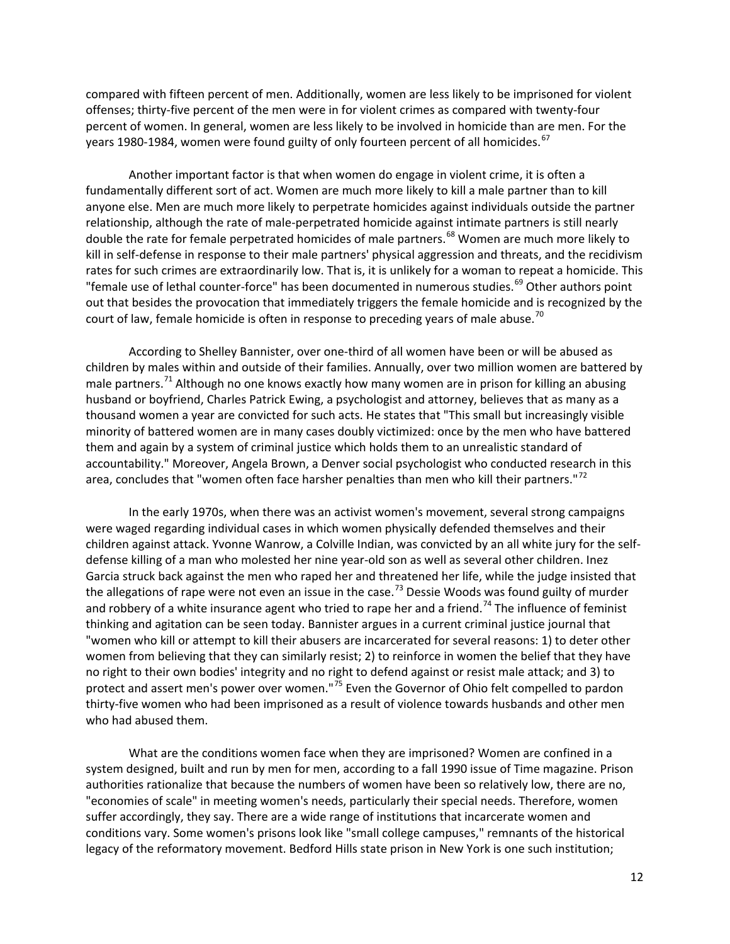compared with fifteen percent of men. Additionally, women are less likely to be imprisoned for violent offenses; thirty-five percent of the men were in for violent crimes as compared with twenty-four percent of women. In general, women are less likely to be involved in homicide than are men. For the years 1980-1984, women were found guilty of only fourteen percent of all homicides.<sup>[67](#page-17-31)</sup>

Another important factor is that when women do engage in violent crime, it is often a fundamentally different sort of act. Women are much more likely to kill a male partner than to kill anyone else. Men are much more likely to perpetrate homicides against individuals outside the partner relationship, although the rate of male-perpetrated homicide against intimate partners is still nearly double the rate for female perpetrated homicides of male partners.<sup>[68](#page-17-32)</sup> Women are much more likely to kill in self-defense in response to their male partners' physical aggression and threats, and the recidivism rates for such crimes are extraordinarily low. That is, it is unlikely for a woman to repeat a homicide. This "female use of lethal counter-force" has been documented in numerous studies.<sup>[69](#page-17-33)</sup> Other authors point out that besides the provocation that immediately triggers the female homicide and is recognized by the court of law, female homicide is often in response to preceding years of male abuse.<sup>[70](#page-18-0)</sup>

According to Shelley Bannister, over one-third of all women have been or will be abused as children by males within and outside of their families. Annually, over two million women are battered by male partners.<sup>[71](#page-18-1)</sup> Although no one knows exactly how many women are in prison for killing an abusing husband or boyfriend, Charles Patrick Ewing, a psychologist and attorney, believes that as many as a thousand women a year are convicted for such acts. He states that "This small but increasingly visible minority of battered women are in many cases doubly victimized: once by the men who have battered them and again by a system of criminal justice which holds them to an unrealistic standard of accountability." Moreover, Angela Brown, a Denver social psychologist who conducted research in this area, concludes that "women often face harsher penalties than men who kill their partners."<sup>[72](#page-18-2)</sup>

In the early 1970s, when there was an activist women's movement, several strong campaigns were waged regarding individual cases in which women physically defended themselves and their children against attack. Yvonne Wanrow, a Colville Indian, was convicted by an all white jury for the selfdefense killing of a man who molested her nine year-old son as well as several other children. Inez Garcia struck back against the men who raped her and threatened her life, while the judge insisted that the allegations of rape were not even an issue in the case.<sup>[73](#page-18-3)</sup> Dessie Woods was found guilty of murder and robbery of a white insurance agent who tried to rape her and a friend.<sup>[74](#page-18-4)</sup> The influence of feminist thinking and agitation can be seen today. Bannister argues in a current criminal justice journal that "women who kill or attempt to kill their abusers are incarcerated for several reasons: 1) to deter other women from believing that they can similarly resist; 2) to reinforce in women the belief that they have no right to their own bodies' integrity and no right to defend against or resist male attack; and 3) to protect and assert men's power over women."<sup>[75](#page-18-5)</sup> Even the Governor of Ohio felt compelled to pardon thirty-five women who had been imprisoned as a result of violence towards husbands and other men who had abused them.

What are the conditions women face when they are imprisoned? Women are confined in a system designed, built and run by men for men, according to a fall 1990 issue of Time magazine. Prison authorities rationalize that because the numbers of women have been so relatively low, there are no, "economies of scale" in meeting women's needs, particularly their special needs. Therefore, women suffer accordingly, they say. There are a wide range of institutions that incarcerate women and conditions vary. Some women's prisons look like "small college campuses," remnants of the historical legacy of the reformatory movement. Bedford Hills state prison in New York is one such institution;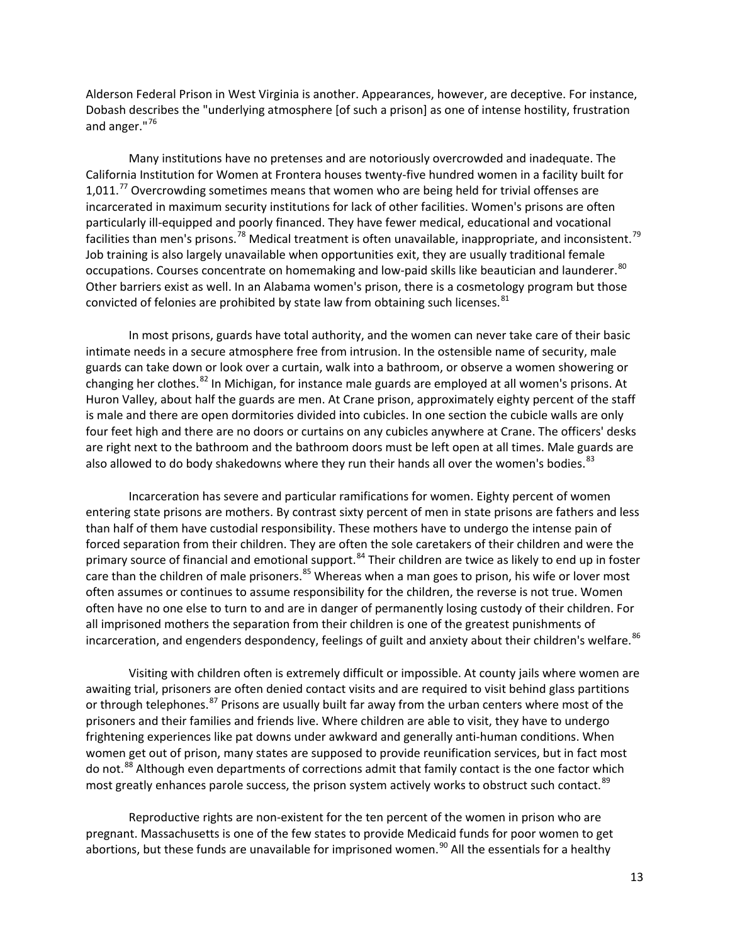Alderson Federal Prison in West Virginia is another. Appearances, however, are deceptive. For instance, Dobash describes the "underlying atmosphere [of such a prison] as one of intense hostility, frustration and anger."<sup>[76](#page-18-6)</sup>

Many institutions have no pretenses and are notoriously overcrowded and inadequate. The California Institution for Women at Frontera houses twenty-five hundred women in a facility built for 1,011.<sup>[77](#page-18-7)</sup> Overcrowding sometimes means that women who are being held for trivial offenses are incarcerated in maximum security institutions for lack of other facilities. Women's prisons are often particularly ill-equipped and poorly financed. They have fewer medical, educational and vocational facilities than men's prisons.<sup>[78](#page-18-8)</sup> Medical treatment is often unavailable, inappropriate, and inconsistent.<sup>[79](#page-18-9)</sup> Job training is also largely unavailable when opportunities exit, they are usually traditional female occupations. Courses concentrate on homemaking and low-paid skills like beautician and launderer.<sup>[80](#page-18-10)</sup> Other barriers exist as well. In an Alabama women's prison, there is a cosmetology program but those convicted of felonies are prohibited by state law from obtaining such licenses. [81](#page-18-11)

In most prisons, guards have total authority, and the women can never take care of their basic intimate needs in a secure atmosphere free from intrusion. In the ostensible name of security, male guards can take down or look over a curtain, walk into a bathroom, or observe a women showering or changing her clothes.<sup>[82](#page-18-12)</sup> In Michigan, for instance male guards are employed at all women's prisons. At Huron Valley, about half the guards are men. At Crane prison, approximately eighty percent of the staff is male and there are open dormitories divided into cubicles. In one section the cubicle walls are only four feet high and there are no doors or curtains on any cubicles anywhere at Crane. The officers' desks are right next to the bathroom and the bathroom doors must be left open at all times. Male guards are also allowed to do body shakedowns where they run their hands all over the women's bodies.<sup>[83](#page-18-13)</sup>

Incarceration has severe and particular ramifications for women. Eighty percent of women entering state prisons are mothers. By contrast sixty percent of men in state prisons are fathers and less than half of them have custodial responsibility. These mothers have to undergo the intense pain of forced separation from their children. They are often the sole caretakers of their children and were the primary source of financial and emotional support.<sup>[84](#page-18-14)</sup> Their children are twice as likely to end up in foster care than the children of male prisoners.<sup>[85](#page-18-15)</sup> Whereas when a man goes to prison, his wife or lover most often assumes or continues to assume responsibility for the children, the reverse is not true. Women often have no one else to turn to and are in danger of permanently losing custody of their children. For all imprisoned mothers the separation from their children is one of the greatest punishments of incarceration, and engenders despondency, feelings of guilt and anxiety about their children's welfare. [86](#page-18-16)

Visiting with children often is extremely difficult or impossible. At county jails where women are awaiting trial, prisoners are often denied contact visits and are required to visit behind glass partitions or through telephones.<sup>[87](#page-18-17)</sup> Prisons are usually built far away from the urban centers where most of the prisoners and their families and friends live. Where children are able to visit, they have to undergo frightening experiences like pat downs under awkward and generally anti-human conditions. When women get out of prison, many states are supposed to provide reunification services, but in fact most do not.<sup>[88](#page-18-18)</sup> Although even departments of corrections admit that family contact is the one factor which most greatly enhances parole success, the prison system actively works to obstruct such contact.<sup>[89](#page-18-19)</sup>

Reproductive rights are non-existent for the ten percent of the women in prison who are pregnant. Massachusetts is one of the few states to provide Medicaid funds for poor women to get abortions, but these funds are unavailable for imprisoned women.<sup>[90](#page-18-20)</sup> All the essentials for a healthy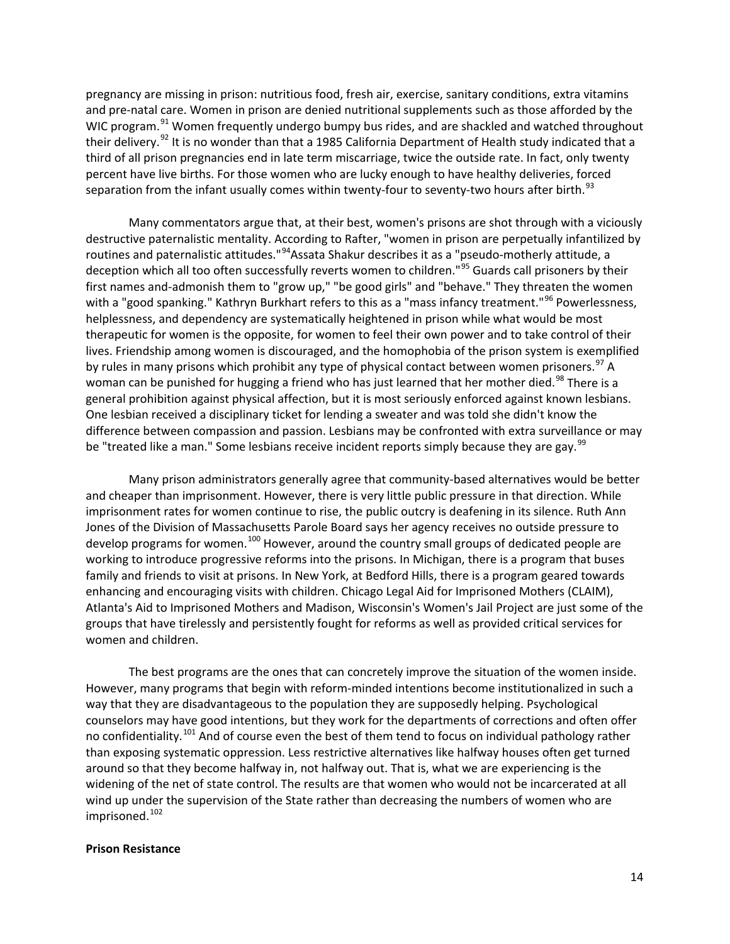pregnancy are missing in prison: nutritious food, fresh air, exercise, sanitary conditions, extra vitamins and pre-natal care. Women in prison are denied nutritional supplements such as those afforded by the WIC program.<sup>[91](#page-18-21)</sup> Women frequently undergo bumpy bus rides, and are shackled and watched throughout their delivery.<sup>[92](#page-18-22)</sup> It is no wonder than that a 1985 California Department of Health study indicated that a third of all prison pregnancies end in late term miscarriage, twice the outside rate. In fact, only twenty percent have live births. For those women who are lucky enough to have healthy deliveries, forced separation from the infant usually comes within twenty-four to seventy-two hours after birth.<sup>[93](#page-18-23)</sup>

Many commentators argue that, at their best, women's prisons are shot through with a viciously destructive paternalistic mentality. According to Rafter, "women in prison are perpetually infantilized by routines and paternalistic attitudes."<sup>94</sup>Assata Shakur describes it as a "pseudo-motherly attitude, a deception which all too often successfully reverts women to children."<sup>[95](#page-18-25)</sup> Guards call prisoners by their first names and-admonish them to "grow up," "be good girls" and "behave." They threaten the women with a "good spanking." Kathryn Burkhart refers to this as a "mass infancy treatment."<sup>[96](#page-18-26)</sup> Powerlessness, helplessness, and dependency are systematically heightened in prison while what would be most therapeutic for women is the opposite, for women to feel their own power and to take control of their lives. Friendship among women is discouraged, and the homophobia of the prison system is exemplified by rules in many prisons which prohibit any type of physical contact between women prisoners.<sup>[97](#page-18-27)</sup> A woman can be punished for hugging a friend who has just learned that her mother died.<sup>[98](#page-18-28)</sup> There is a general prohibition against physical affection, but it is most seriously enforced against known lesbians. One lesbian received a disciplinary ticket for lending a sweater and was told she didn't know the difference between compassion and passion. Lesbians may be confronted with extra surveillance or may be "treated like a man." Some lesbians receive incident reports simply because they are gay.  $99$ 

Many prison administrators generally agree that community-based alternatives would be better and cheaper than imprisonment. However, there is very little public pressure in that direction. While imprisonment rates for women continue to rise, the public outcry is deafening in its silence. Ruth Ann Jones of the Division of Massachusetts Parole Board says her agency receives no outside pressure to develop programs for women.<sup>[100](#page-18-30)</sup> However, around the country small groups of dedicated people are working to introduce progressive reforms into the prisons. In Michigan, there is a program that buses family and friends to visit at prisons. In New York, at Bedford Hills, there is a program geared towards enhancing and encouraging visits with children. Chicago Legal Aid for Imprisoned Mothers (CLAIM), Atlanta's Aid to Imprisoned Mothers and Madison, Wisconsin's Women's Jail Project are just some of the groups that have tirelessly and persistently fought for reforms as well as provided critical services for women and children.

The best programs are the ones that can concretely improve the situation of the women inside. However, many programs that begin with reform-minded intentions become institutionalized in such a way that they are disadvantageous to the population they are supposedly helping. Psychological counselors may have good intentions, but they work for the departments of corrections and often offer no confidentiality.<sup>[101](#page-18-31)</sup> And of course even the best of them tend to focus on individual pathology rather than exposing systematic oppression. Less restrictive alternatives like halfway houses often get turned around so that they become halfway in, not halfway out. That is, what we are experiencing is the widening of the net of state control. The results are that women who would not be incarcerated at all wind up under the supervision of the State rather than decreasing the numbers of women who are imprisoned.<sup>[102](#page-18-32)</sup>

#### **Prison Resistance**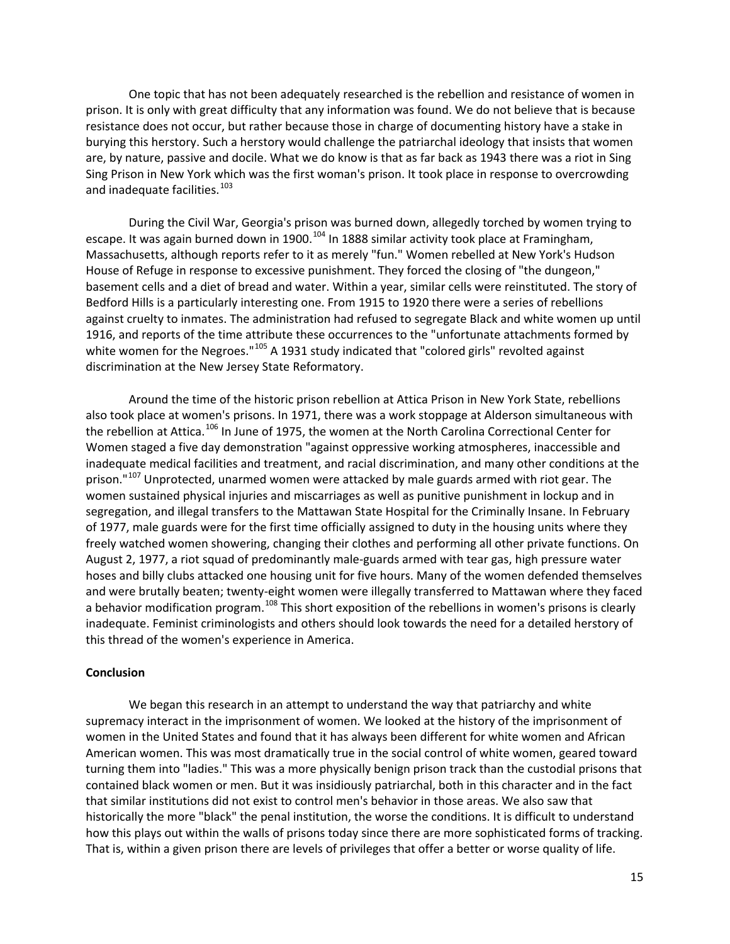One topic that has not been adequately researched is the rebellion and resistance of women in prison. It is only with great difficulty that any information was found. We do not believe that is because resistance does not occur, but rather because those in charge of documenting history have a stake in burying this herstory. Such a herstory would challenge the patriarchal ideology that insists that women are, by nature, passive and docile. What we do know is that as far back as 1943 there was a riot in Sing Sing Prison in New York which was the first woman's prison. It took place in response to overcrowding and inadequate facilities.<sup>[103](#page-18-33)</sup>

During the Civil War, Georgia's prison was burned down, allegedly torched by women trying to escape. It was again burned down in 1900.<sup>[104](#page-18-34)</sup> In 1888 similar activity took place at Framingham, Massachusetts, although reports refer to it as merely "fun." Women rebelled at New York's Hudson House of Refuge in response to excessive punishment. They forced the closing of "the dungeon," basement cells and a diet of bread and water. Within a year, similar cells were reinstituted. The story of Bedford Hills is a particularly interesting one. From 1915 to 1920 there were a series of rebellions against cruelty to inmates. The administration had refused to segregate Black and white women up until 1916, and reports of the time attribute these occurrences to the "unfortunate attachments formed by white women for the Negroes."<sup>[105](#page-18-35)</sup> A 1931 study indicated that "colored girls" revolted against discrimination at the New Jersey State Reformatory.

Around the time of the historic prison rebellion at Attica Prison in New York State, rebellions also took place at women's prisons. In 1971, there was a work stoppage at Alderson simultaneous with the rebellion at Attica.<sup>[106](#page-18-36)</sup> In June of 1975, the women at the North Carolina Correctional Center for Women staged a five day demonstration "against oppressive working atmospheres, inaccessible and inadequate medical facilities and treatment, and racial discrimination, and many other conditions at the prison."<sup>[107](#page-18-37)</sup> Unprotected, unarmed women were attacked by male guards armed with riot gear. The women sustained physical injuries and miscarriages as well as punitive punishment in lockup and in segregation, and illegal transfers to the Mattawan State Hospital for the Criminally Insane. In February of 1977, male guards were for the first time officially assigned to duty in the housing units where they freely watched women showering, changing their clothes and performing all other private functions. On August 2, 1977, a riot squad of predominantly male-guards armed with tear gas, high pressure water hoses and billy clubs attacked one housing unit for five hours. Many of the women defended themselves and were brutally beaten; twenty-eight women were illegally transferred to Mattawan where they faced a behavior modification program.<sup>[108](#page-18-38)</sup> This short exposition of the rebellions in women's prisons is clearly inadequate. Feminist criminologists and others should look towards the need for a detailed herstory of this thread of the women's experience in America.

### **Conclusion**

We began this research in an attempt to understand the way that patriarchy and white supremacy interact in the imprisonment of women. We looked at the history of the imprisonment of women in the United States and found that it has always been different for white women and African American women. This was most dramatically true in the social control of white women, geared toward turning them into "ladies." This was a more physically benign prison track than the custodial prisons that contained black women or men. But it was insidiously patriarchal, both in this character and in the fact that similar institutions did not exist to control men's behavior in those areas. We also saw that historically the more "black" the penal institution, the worse the conditions. It is difficult to understand how this plays out within the walls of prisons today since there are more sophisticated forms of tracking. That is, within a given prison there are levels of privileges that offer a better or worse quality of life.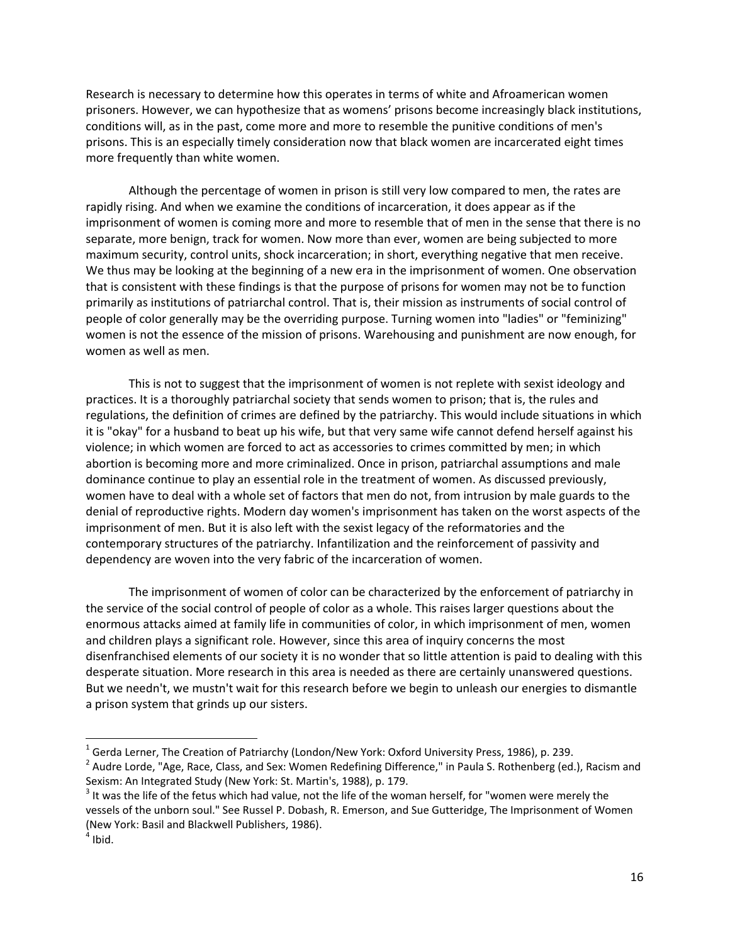Research is necessary to determine how this operates in terms of white and Afroamerican women prisoners. However, we can hypothesize that as womens' prisons become increasingly black institutions, conditions will, as in the past, come more and more to resemble the punitive conditions of men's prisons. This is an especially timely consideration now that black women are incarcerated eight times more frequently than white women.

Although the percentage of women in prison is still very low compared to men, the rates are rapidly rising. And when we examine the conditions of incarceration, it does appear as if the imprisonment of women is coming more and more to resemble that of men in the sense that there is no separate, more benign, track for women. Now more than ever, women are being subjected to more maximum security, control units, shock incarceration; in short, everything negative that men receive. We thus may be looking at the beginning of a new era in the imprisonment of women. One observation that is consistent with these findings is that the purpose of prisons for women may not be to function primarily as institutions of patriarchal control. That is, their mission as instruments of social control of people of color generally may be the overriding purpose. Turning women into "ladies" or "feminizing" women is not the essence of the mission of prisons. Warehousing and punishment are now enough, for women as well as men.

This is not to suggest that the imprisonment of women is not replete with sexist ideology and practices. It is a thoroughly patriarchal society that sends women to prison; that is, the rules and regulations, the definition of crimes are defined by the patriarchy. This would include situations in which it is "okay" for a husband to beat up his wife, but that very same wife cannot defend herself against his violence; in which women are forced to act as accessories to crimes committed by men; in which abortion is becoming more and more criminalized. Once in prison, patriarchal assumptions and male dominance continue to play an essential role in the treatment of women. As discussed previously, women have to deal with a whole set of factors that men do not, from intrusion by male guards to the denial of reproductive rights. Modern day women's imprisonment has taken on the worst aspects of the imprisonment of men. But it is also left with the sexist legacy of the reformatories and the contemporary structures of the patriarchy. Infantilization and the reinforcement of passivity and dependency are woven into the very fabric of the incarceration of women.

The imprisonment of women of color can be characterized by the enforcement of patriarchy in the service of the social control of people of color as a whole. This raises larger questions about the enormous attacks aimed at family life in communities of color, in which imprisonment of men, women and children plays a significant role. However, since this area of inquiry concerns the most disenfranchised elements of our society it is no wonder that so little attention is paid to dealing with this desperate situation. More research in this area is needed as there are certainly unanswered questions. But we needn't, we mustn't wait for this research before we begin to unleash our energies to dismantle a prison system that grinds up our sisters.

<span id="page-15-0"></span> $1$  Gerda Lerner, The Creation of Patriarchy (London/New York: Oxford University Press, 1986), p. 239.

<span id="page-15-1"></span> $2$  Audre Lorde, "Age, Race, Class, and Sex: Women Redefining Difference," in Paula S. Rothenberg (ed.), Racism and Sexism: An Integrated Study (New York: St. Martin's, 1988), p. 179.

<span id="page-15-2"></span><sup>&</sup>lt;sup>3</sup> It was the life of the fetus which had value, not the life of the woman herself, for "women were merely the vessels of the unborn soul." See Russel P. Dobash, R. Emerson, and Sue Gutteridge, The Imprisonment of Women (New York: Basil and Blackwell Publishers, 1986).

<span id="page-15-3"></span> $<sup>4</sup>$  Ibid.</sup>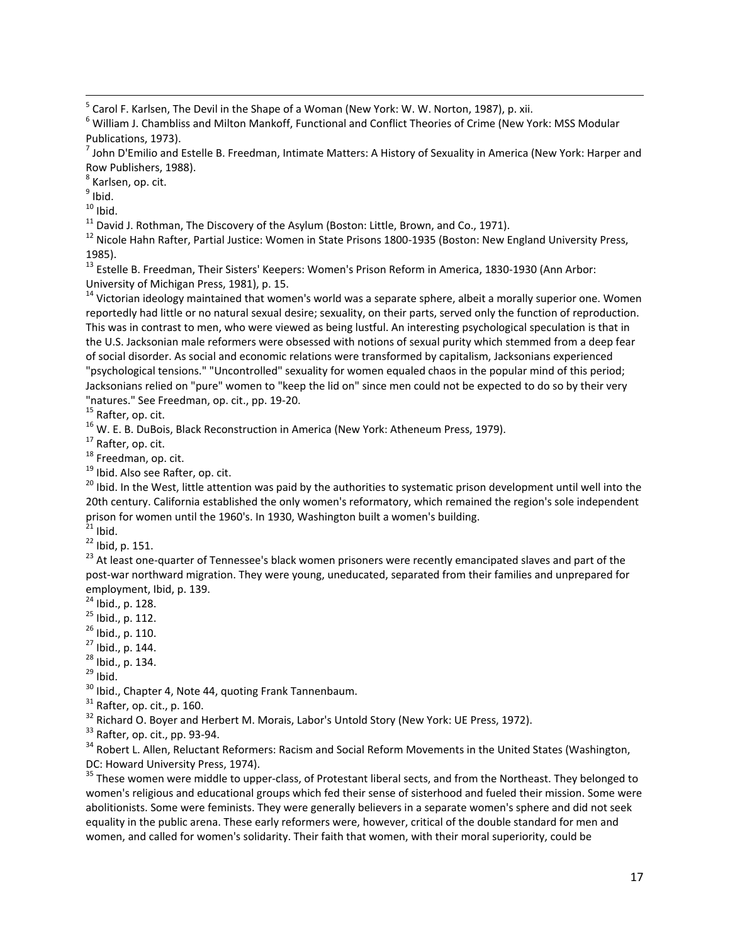<span id="page-16-3"></span><sup>8</sup> Karlsen, op. cit.

<span id="page-16-4"></span> $<sup>9</sup>$  Ibid.</sup>

<span id="page-16-5"></span> $10$  Ibid.

<span id="page-16-6"></span> $11$  David J. Rothman, The Discovery of the Asylum (Boston: Little, Brown, and Co., 1971).

<span id="page-16-7"></span><sup>12</sup> Nicole Hahn Rafter, Partial Justice: Women in State Prisons 1800-1935 (Boston: New England University Press, 1985).

<span id="page-16-8"></span><sup>13</sup> Estelle B. Freedman, Their Sisters' Keepers: Women's Prison Reform in America, 1830-1930 (Ann Arbor: University of Michigan Press, 1981), p. 15.

<span id="page-16-9"></span> $14$  Victorian ideology maintained that women's world was a separate sphere, albeit a morally superior one. Women reportedly had little or no natural sexual desire; sexuality, on their parts, served only the function of reproduction. This was in contrast to men, who were viewed as being lustful. An interesting psychological speculation is that in the U.S. Jacksonian male reformers were obsessed with notions of sexual purity which stemmed from a deep fear of social disorder. As social and economic relations were transformed by capitalism, Jacksonians experienced "psychological tensions." "Uncontrolled" sexuality for women equaled chaos in the popular mind of this period; Jacksonians relied on "pure" women to "keep the lid on" since men could not be expected to do so by their very "natures." See Freedman, op. cit., pp. 19-20.

<span id="page-16-10"></span><sup>15</sup> Rafter, op. cit.

<span id="page-16-11"></span><sup>16</sup> W. E. B. DuBois, Black Reconstruction in America (New York: Atheneum Press, 1979).

<span id="page-16-12"></span><sup>17</sup> Rafter, op. cit.

<span id="page-16-13"></span><sup>18</sup> Freedman, op. cit.

<span id="page-16-14"></span><sup>19</sup> Ibid. Also see Rafter, op. cit.

<span id="page-16-15"></span><sup>20</sup> Ibid. In the West, little attention was paid by the authorities to systematic prison development until well into the 20th century. California established the only women's reformatory, which remained the region's sole independent prison for women until the 1960's. In 1930, Washington built a women's building.

<span id="page-16-16"></span> $21$  Ibid.

<span id="page-16-17"></span> $22$  Ibid, p. 151.

<span id="page-16-18"></span><sup>23</sup> At least one-quarter of Tennessee's black women prisoners were recently emancipated slaves and part of the post-war northward migration. They were young, uneducated, separated from their families and unprepared for employment, Ibid, p. 139.

<span id="page-16-19"></span><sup>24</sup> Ibid., p. 128.

<span id="page-16-20"></span><sup>25</sup> Ibid., p. 112.

<span id="page-16-21"></span> $26$  Ibid., p. 110.

<span id="page-16-22"></span><sup>27</sup> Ibid., p. 144.

<span id="page-16-23"></span><sup>28</sup> Ibid., p. 134.

<span id="page-16-24"></span> $29$  Ibid.

<span id="page-16-25"></span><sup>30</sup> Ibid., Chapter 4, Note 44, quoting Frank Tannenbaum.

<span id="page-16-26"></span> $31$  Rafter, op. cit., p. 160.

<span id="page-16-27"></span> $32$  Richard O. Boyer and Herbert M. Morais, Labor's Untold Story (New York: UE Press, 1972).

<span id="page-16-28"></span> $33$  Rafter, op. cit., pp. 93-94.

<span id="page-16-29"></span><sup>34</sup> Robert L. Allen, Reluctant Reformers: Racism and Social Reform Movements in the United States (Washington, DC: Howard University Press, 1974).

<span id="page-16-30"></span><sup>35</sup> These women were middle to upper-class, of Protestant liberal sects, and from the Northeast. They belonged to women's religious and educational groups which fed their sense of sisterhood and fueled their mission. Some were abolitionists. Some were feminists. They were generally believers in a separate women's sphere and did not seek equality in the public arena. These early reformers were, however, critical of the double standard for men and women, and called for women's solidarity. Their faith that women, with their moral superiority, could be

<span id="page-16-0"></span><sup>&</sup>lt;sup>5</sup> Carol F. Karlsen, The Devil in the Shape of a Woman (New York: W. W. Norton, 1987), p. xii.

<span id="page-16-1"></span><sup>6</sup> William J. Chambliss and Milton Mankoff, Functional and Conflict Theories of Crime (New York: MSS Modular Publications, 1973).

<span id="page-16-2"></span> $^7$  John D'Emilio and Estelle B. Freedman, Intimate Matters: A History of Sexuality in America (New York: Harper and Row Publishers, 1988).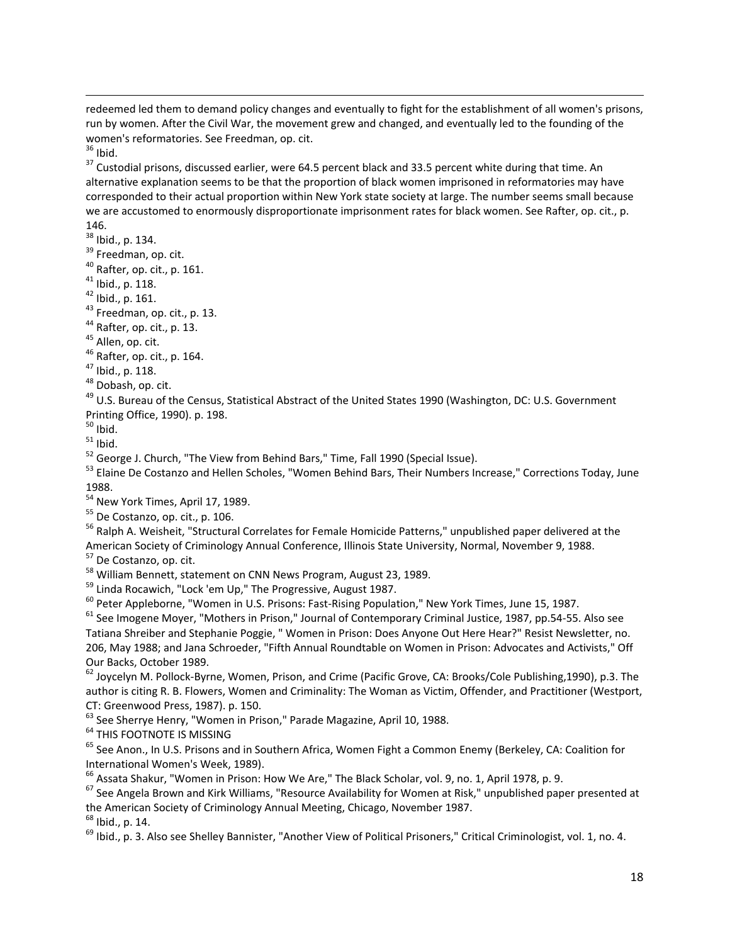redeemed led them to demand policy changes and eventually to fight for the establishment of all women's prisons, run by women. After the Civil War, the movement grew and changed, and eventually led to the founding of the women's reformatories. See Freedman, op. cit.

<span id="page-17-0"></span> $36$  Ibid.

.<br>-

<span id="page-17-1"></span><sup>37</sup> Custodial prisons, discussed earlier, were 64.5 percent black and 33.5 percent white during that time. An alternative explanation seems to be that the proportion of black women imprisoned in reformatories may have corresponded to their actual proportion within New York state society at large. The number seems small because we are accustomed to enormously disproportionate imprisonment rates for black women. See Rafter, op. cit., p. 146.

<span id="page-17-2"></span> $38$  Ibid., p. 134.

<span id="page-17-3"></span><sup>39</sup> Freedman, op. cit.

<span id="page-17-4"></span> $40$  Rafter, op. cit., p. 161.

<span id="page-17-5"></span><sup>41</sup> Ibid., p. 118.

<span id="page-17-6"></span> $42$  Ibid., p. 161.

<span id="page-17-7"></span>43 Freedman, op. cit., p. 13.

<span id="page-17-8"></span><sup>44</sup> Rafter, op. cit., p. 13.

<span id="page-17-9"></span><sup>45</sup> Allen, op. cit.

<span id="page-17-10"></span> $46$  Rafter, op. cit., p. 164.

<span id="page-17-11"></span><sup>47</sup> Ibid., p. 118.

<span id="page-17-12"></span><sup>48</sup> Dobash, op. cit.

<span id="page-17-13"></span><sup>49</sup> U.S. Bureau of the Census, Statistical Abstract of the United States 1990 (Washington, DC: U.S. Government Printing Office, 1990). p. 198.

<span id="page-17-14"></span> $50$  Ibid.

<span id="page-17-15"></span> $51$  Ibid.

<span id="page-17-16"></span><sup>52</sup> George J. Church, "The View from Behind Bars," Time, Fall 1990 (Special Issue).

<span id="page-17-17"></span><sup>53</sup> Elaine De Costanzo and Hellen Scholes, "Women Behind Bars, Their Numbers Increase," Corrections Today, June 1988.

<span id="page-17-18"></span><sup>54</sup> New York Times, April 17, 1989.

<span id="page-17-19"></span><sup>55</sup> De Costanzo, op. cit., p. 106.

<span id="page-17-20"></span><sup>56</sup> Ralph A. Weisheit, "Structural Correlates for Female Homicide Patterns," unpublished paper delivered at the American Society of Criminology Annual Conference, Illinois State University, Normal, November 9, 1988.

<sup>57</sup> De Costanzo, op. cit.

<span id="page-17-22"></span><span id="page-17-21"></span><sup>58</sup> William Bennett, statement on CNN News Program, August 23, 1989.

<span id="page-17-23"></span><sup>59</sup> Linda Rocawich, "Lock 'em Up," The Progressive, August 1987.

<span id="page-17-24"></span><sup>60</sup> Peter Appleborne, "Women in U.S. Prisons: Fast-Rising Population," New York Times, June 15, 1987.

<span id="page-17-25"></span><sup>61</sup> See Imogene Moyer, "Mothers in Prison," Journal of Contemporary Criminal Justice, 1987, pp.54-55. Also see Tatiana Shreiber and Stephanie Poggie, " Women in Prison: Does Anyone Out Here Hear?" Resist Newsletter, no. 206, May 1988; and Jana Schroeder, "Fifth Annual Roundtable on Women in Prison: Advocates and Activists," Off Our Backs, October 1989.

<span id="page-17-26"></span><sup>62</sup> Joycelyn M. Pollock-Byrne, Women, Prison, and Crime (Pacific Grove, CA: Brooks/Cole Publishing, 1990), p.3. The author is citing R. B. Flowers, Women and Criminality: The Woman as Victim, Offender, and Practitioner (Westport, CT: Greenwood Press, 1987). p. 150.

<span id="page-17-27"></span><sup>63</sup> See Sherrye Henry, "Women in Prison," Parade Magazine, April 10, 1988.

<span id="page-17-28"></span><sup>64</sup> THIS FOOTNOTE IS MISSING

<span id="page-17-29"></span><sup>65</sup> See Anon., In U.S. Prisons and in Southern Africa, Women Fight a Common Enemy (Berkeley, CA: Coalition for International Women's Week, 1989).

<span id="page-17-30"></span><sup>66</sup> Assata Shakur, "Women in Prison: How We Are," The Black Scholar, vol. 9, no. 1, April 1978, p. 9.

<span id="page-17-31"></span><sup>67</sup> See Angela Brown and Kirk Williams, "Resource Availability for Women at Risk," unpublished paper presented at the American Society of Criminology Annual Meeting, Chicago, November 1987.

<span id="page-17-32"></span><sup>68</sup> Ibid., p. 14.

<span id="page-17-33"></span> $^{69}$  Ibid., p. 3. Also see Shelley Bannister, "Another View of Political Prisoners," Critical Criminologist, vol. 1, no. 4.